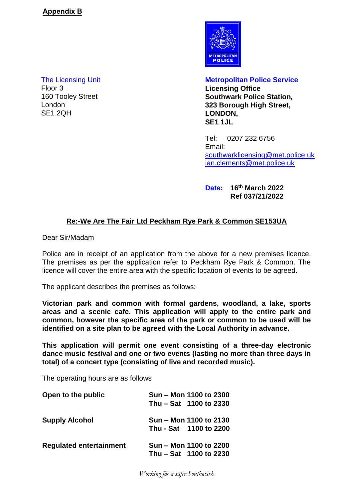Floor 3 **Licensing Office** London SE1 2QH



The Licensing Unit **Metropolitan Police Service** 160 Tooley Street **Southwark Police Station***,* **323 Borough High Street, LONDON, SE1 1JL**

> Tel: 0207 232 6756 Email: [southwarklicensing@met.police.uk](mailto:southwarklicensing@met.police.uk) [ian.clements@met.police.uk](mailto:ian.clements@met.police.uk)

**Date: 16th March 2022 Ref 037/21/2022**

# **Re:-We Are The Fair Ltd Peckham Rye Park & Common SE153UA**

Dear Sir/Madam

Police are in receipt of an application from the above for a new premises licence. The premises as per the application refer to Peckham Rye Park & Common. The licence will cover the entire area with the specific location of events to be agreed.

The applicant describes the premises as follows:

**Victorian park and common with formal gardens, woodland, a lake, sports areas and a scenic cafe. This application will apply to the entire park and common, however the specific area of the park or common to be used will be identified on a site plan to be agreed with the Local Authority in advance.**

**This application will permit one event consisting of a three-day electronic dance music festival and one or two events (lasting no more than three days in total) of a concert type (consisting of live and recorded music).**

The operating hours are as follows

| Open to the public             | Sun – Mon 1100 to 2300<br>Thu - Sat 1100 to 2330 |  |
|--------------------------------|--------------------------------------------------|--|
| <b>Supply Alcohol</b>          | Sun – Mon 1100 to 2130<br>Thu - Sat 1100 to 2200 |  |
| <b>Regulated entertainment</b> | Sun – Mon 1100 to 2200<br>Thu - Sat 1100 to 2230 |  |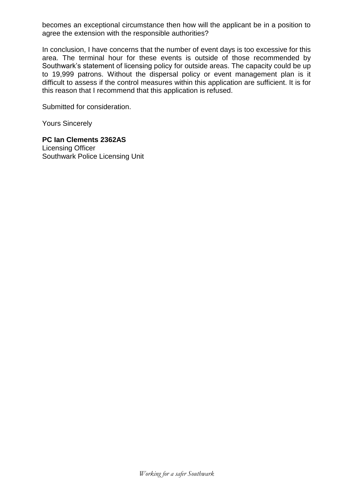**The Licensing Unit** Floor<sub>3</sub> 160 Tooley Street London SF1 2OH

**Metropolitan Police Service Licensing Office Southwark Police Station.** 323 Borough High Street, LONDON, **SF1 1.II** 

Tel: 0207 232 6756 Email: southwarklicensing@met.police.uk ian.clements@met.police.uk

Date: 16th March 2022 Ref 037/21/2022

## Re:-We Are The Fair Ltd Peckham Rye Park & Common SE153UA

Dear Sir/Madam

Police are in receipt of an application from the above for a new premises licence. The premises as per the application refer to Peckham Rye Park & Common. The licence will cover the entire area with the specific location of events to be agreed.

The applicant describes the premises as follows:

Victorian park and common with formal gardens, woodland, a lake, sports areas and a scenic cafe. This application will apply to the entire park and common, however the specific area of the park or common to be used will be identified on a site plan to be agreed with the Local Authority in advance.

This application will permit one event consisting of a three-day electronic dance music festival and one or two events (lasting no more than three days in total) of a concert type (consisting of live and recorded music).

The operating hours are as follows

| Open to the public             | Sun<br>Thu                           | Mon 1100 to 2300<br>Sat 1100 to 2330 |  |
|--------------------------------|--------------------------------------|--------------------------------------|--|
| <b>Supply Alcohol</b>          | <b>Sun</b><br>Thu - Sat 1100 to 2200 | Mon 1100 to 2130                     |  |
| <b>Regulated entertainment</b> | Sun<br>Thu                           | Mon 1100 to 2200<br>Sat 1100 to 2230 |  |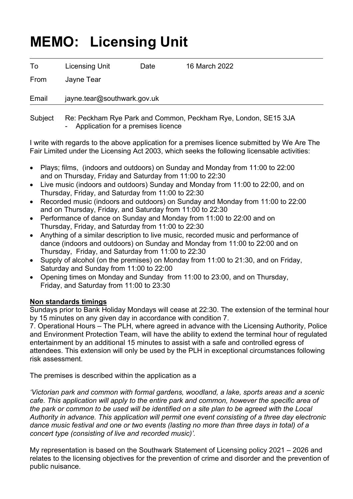# **MEMO: Licensing Unit**

| To    | <b>Licensing Unit</b>       | Date | 16 March 2022 |  |  |
|-------|-----------------------------|------|---------------|--|--|
| From  | Jayne Tear                  |      |               |  |  |
| Email | jayne.tear@southwark.gov.uk |      |               |  |  |
|       |                             |      |               |  |  |

 Subject Re: Peckham Rye Park and Common, Peckham Rye, London, SE15 3JA Application for a premises licence

I write with regards to the above application for a premises licence submitted by We Are The Fair Limited under the Licensing Act 2003, which seeks the following licensable activities:

- Plays; films, (indoors and outdoors) on Sunday and Monday from 11:00 to 22:00 and on Thursday, Friday and Saturday from 11:00 to 22:30
- Live music (indoors and outdoors) Sunday and Monday from 11:00 to 22:00, and on Thursday, Friday, and Saturday from 11:00 to 22:30
- Recorded music (indoors and outdoors) on Sunday and Monday from 11:00 to 22:00 and on Thursday, Friday, and Saturday from 11:00 to 22:30
- Performance of dance on Sunday and Monday from 11:00 to 22:00 and on Thursday, Friday, and Saturday from 11:00 to 22:30
- Anything of a similar description to live music, recorded music and performance of dance (indoors and outdoors) on Sunday and Monday from 11:00 to 22:00 and on Thursday, Friday, and Saturday from 11:00 to 22:30
- Supply of alcohol (on the premises) on Monday from 11:00 to 21:30, and on Friday, Saturday and Sunday from 11:00 to 22:00
- Opening times on Monday and Sunday from 11:00 to 23:00, and on Thursday, Friday, and Saturday from 11:00 to 23:30

## **Non standards timings**

Sundays prior to Bank Holiday Mondays will cease at 22:30. The extension of the terminal hour by 15 minutes on any given day in accordance with condition 7.

7. Operational Hours – The PLH, where agreed in advance with the Licensing Authority, Police and Environment Protection Team, will have the ability to extend the terminal hour of regulated entertainment by an additional 15 minutes to assist with a safe and controlled egress of attendees. This extension will only be used by the PLH in exceptional circumstances following risk assessment.

The premises is described within the application as a

*'Victorian park and common with formal gardens, woodland, a lake, sports areas and a scenic cafe. This application will apply to the entire park and common, however the specific area of the park or common to be used will be identified on a site plan to be agreed with the Local Authority in advance. This application will permit one event consisting of a three day electronic dance music festival and one or two events (lasting no more than three days in total) of a concert type (consisting of live and recorded music)'.*

My representation is based on the Southwark Statement of Licensing policy 2021 – 2026 and relates to the licensing objectives for the prevention of crime and disorder and the prevention of public nuisance.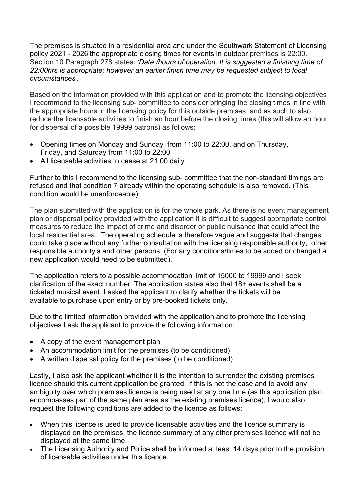The premises is situated in a residential area and under the Southwark Statement of Licensing policy 2021 - 2026 the appropriate closing times for events in outdoor premises is 22:00. Section 10 Paragraph 278 states: *'Date /hours of operation. It is suggested a finishing time of 22:00hrs is appropriate; however an earlier finish time may be requested subject to local circumstances'.* 

Based on the information provided with this application and to promote the licensing objectives I recommend to the licensing sub- committee to consider bringing the closing times in line with the appropriate hours in the licensing policy for this outside premises, and as such to also reduce the licensable activities to finish an hour before the closing times (this will allow an hour for dispersal of a possible 19999 patrons) as follows:

- Opening times on Monday and Sunday from 11:00 to 22:00, and on Thursday, Friday, and Saturday from 11:00 to 22:00
- All licensable activities to cease at 21:00 daily

Further to this I recommend to the licensing sub- committee that the non-standard timings are refused and that condition 7 already within the operating schedule is also removed. (This condition would be unenforceable).

The plan submitted with the application is for the whole park. As there is no event management plan or dispersal policy provided with the application it is difficult to suggest appropriate control measures to reduce the impact of crime and disorder or public nuisance that could affect the local residential area. The operating schedule is therefore vague and suggests that changes could take place without any further consultation with the licensing responsible authority, other responsible authority's and other persons. (For any conditions/times to be added or changed a new application would need to be submitted).

The application refers to a possible accommodation limit of 15000 to 19999 and I seek clarification of the exact number. The application states also that 18+ events shall be a ticketed musical event. I asked the applicant to clarify whether the tickets will be available to purchase upon entry or by pre-booked tickets only.

Due to the limited information provided with the application and to promote the licensing objectives I ask the applicant to provide the following information:

- A copy of the event management plan
- An accommodation limit for the premises (to be conditioned)
- A written dispersal policy for the premises (to be conditioned)

Lastly, I also ask the applicant whether it is the intention to surrender the existing premises licence should this current application be granted. If this is not the case and to avoid any ambiguity over which premises licence is being used at any one time (as this application plan encompasses part of the same plan area as the existing premises licence), I would also request the following conditions are added to the licence as follows:

- When this licence is used to provide licensable activities and the licence summary is displayed on the premises, the licence summary of any other premises licence will not be displayed at the same time.
- The Licensing Authority and Police shall be informed at least 14 days prior to the provision of licensable activities under this licence.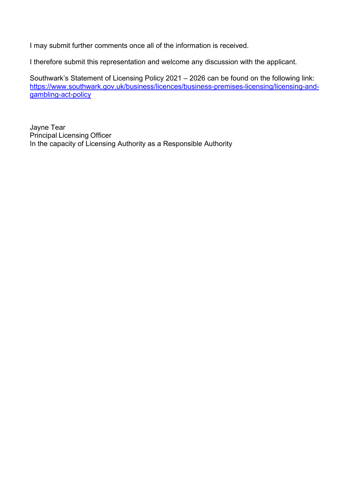I may submit further comments once all of the information is received.

I therefore submit this representation and welcome any discussion with the applicant.

Southwark's Statement of Licensing Policy 2021 – 2026 can be found on the following link: [https://www.southwark.gov.uk/business/licences/business-premises-licensing/licensing-and](https://www.southwark.gov.uk/business/licences/business-premises-licensing/licensing-and-gambling-act-policy)[gambling-act-policy](https://www.southwark.gov.uk/business/licences/business-premises-licensing/licensing-and-gambling-act-policy)

Jayne Tear Principal Licensing Officer In the capacity of Licensing Authority as a Responsible Authority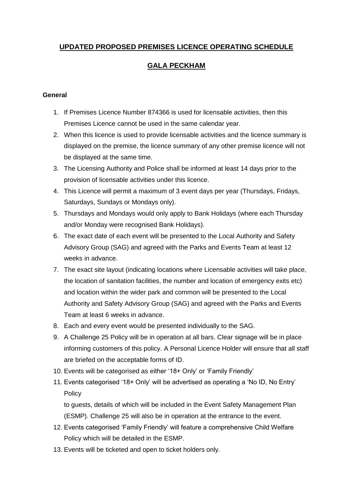# **UPDATED PROPOSED PREMISES LICENCE OPERATING SCHEDULE**

## **GALA PECKHAM**

#### **General**

- 1. If Premises Licence Number 874366 is used for licensable activities, then this Premises Licence cannot be used in the same calendar year.
- 2. When this licence is used to provide licensable activities and the licence summary is displayed on the premise, the licence summary of any other premise licence will not be displayed at the same time.
- 3. The Licensing Authority and Police shall be informed at least 14 days prior to the provision of licensable activities under this licence.
- 4. This Licence will permit a maximum of 3 event days per year (Thursdays, Fridays, Saturdays, Sundays or Mondays only).
- 5. Thursdays and Mondays would only apply to Bank Holidays (where each Thursday and/or Monday were recognised Bank Holidays).
- 6. The exact date of each event will be presented to the Local Authority and Safety Advisory Group (SAG) and agreed with the Parks and Events Team at least 12 weeks in advance.
- 7. The exact site layout (indicating locations where Licensable activities will take place, the location of sanitation facilities, the number and location of emergency exits etc) and location within the wider park and common will be presented to the Local Authority and Safety Advisory Group (SAG) and agreed with the Parks and Events Team at least 6 weeks in advance.
- 8. Each and every event would be presented individually to the SAG.
- 9. A Challenge 25 Policy will be in operation at all bars. Clear signage will be in place informing customers of this policy. A Personal Licence Holder will ensure that all staff are briefed on the acceptable forms of ID.
- 10. Events will be categorised as either '18+ Only' or 'Family Friendly'
- 11. Events categorised '18+ Only' will be advertised as operating a 'No ID, No Entry' Policy

to guests, details of which will be included in the Event Safety Management Plan (ESMP). Challenge 25 will also be in operation at the entrance to the event.

- 12. Events categorised 'Family Friendly' will feature a comprehensive Child Welfare Policy which will be detailed in the ESMP.
- 13. Events will be ticketed and open to ticket holders only.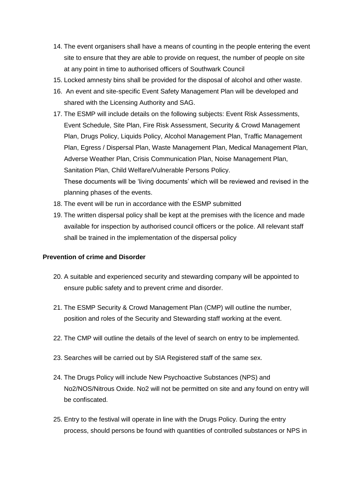- 14. The event organisers shall have a means of counting in the people entering the event site to ensure that they are able to provide on request, the number of people on site at any point in time to authorised officers of Southwark Council
- 15. Locked amnesty bins shall be provided for the disposal of alcohol and other waste.
- 16. An event and site-specific Event Safety Management Plan will be developed and shared with the Licensing Authority and SAG.
- 17. The ESMP will include details on the following subjects: Event Risk Assessments, Event Schedule, Site Plan, Fire Risk Assessment, Security & Crowd Management Plan, Drugs Policy, Liquids Policy, Alcohol Management Plan, Traffic Management Plan, Egress / Dispersal Plan, Waste Management Plan, Medical Management Plan, Adverse Weather Plan, Crisis Communication Plan, Noise Management Plan, Sanitation Plan, Child Welfare/Vulnerable Persons Policy. These documents will be 'living documents' which will be reviewed and revised in the planning phases of the events.
- 18. The event will be run in accordance with the ESMP submitted
- 19. The written dispersal policy shall be kept at the premises with the licence and made available for inspection by authorised council officers or the police. All relevant staff shall be trained in the implementation of the dispersal policy

#### **Prevention of crime and Disorder**

- 20. A suitable and experienced security and stewarding company will be appointed to ensure public safety and to prevent crime and disorder.
- 21. The ESMP Security & Crowd Management Plan (CMP) will outline the number, position and roles of the Security and Stewarding staff working at the event.
- 22. The CMP will outline the details of the level of search on entry to be implemented.
- 23. Searches will be carried out by SIA Registered staff of the same sex.
- 24. The Drugs Policy will include New Psychoactive Substances (NPS) and No2/NOS/Nitrous Oxide. No2 will not be permitted on site and any found on entry will be confiscated.
- 25. Entry to the festival will operate in line with the Drugs Policy. During the entry process, should persons be found with quantities of controlled substances or NPS in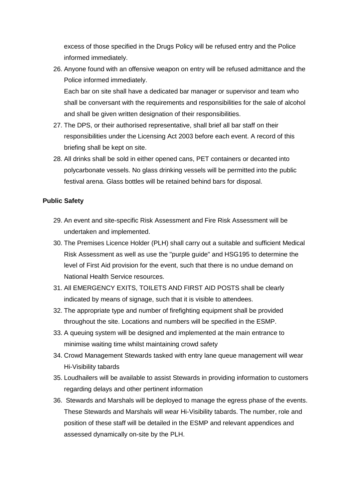excess of those specified in the Drugs Policy will be refused entry and the Police informed immediately.

26. Anyone found with an offensive weapon on entry will be refused admittance and the Police informed immediately.

Each bar on site shall have a dedicated bar manager or supervisor and team who shall be conversant with the requirements and responsibilities for the sale of alcohol and shall be given written designation of their responsibilities.

- 27. The DPS, or their authorised representative, shall brief all bar staff on their responsibilities under the Licensing Act 2003 before each event. A record of this briefing shall be kept on site.
- 28. All drinks shall be sold in either opened cans, PET containers or decanted into polycarbonate vessels. No glass drinking vessels will be permitted into the public festival arena. Glass bottles will be retained behind bars for disposal.

#### **Public Safety**

- 29. An event and site-specific Risk Assessment and Fire Risk Assessment will be undertaken and implemented.
- 30. The Premises Licence Holder (PLH) shall carry out a suitable and sufficient Medical Risk Assessment as well as use the "purple guide" and HSG195 to determine the level of First Aid provision for the event, such that there is no undue demand on National Health Service resources.
- 31. All EMERGENCY EXITS, TOILETS AND FIRST AID POSTS shall be clearly indicated by means of signage, such that it is visible to attendees.
- 32. The appropriate type and number of firefighting equipment shall be provided throughout the site. Locations and numbers will be specified in the ESMP.
- 33. A queuing system will be designed and implemented at the main entrance to minimise waiting time whilst maintaining crowd safety
- 34. Crowd Management Stewards tasked with entry lane queue management will wear Hi-Visibility tabards
- 35. Loudhailers will be available to assist Stewards in providing information to customers regarding delays and other pertinent information
- 36. Stewards and Marshals will be deployed to manage the egress phase of the events. These Stewards and Marshals will wear Hi-Visibility tabards. The number, role and position of these staff will be detailed in the ESMP and relevant appendices and assessed dynamically on-site by the PLH.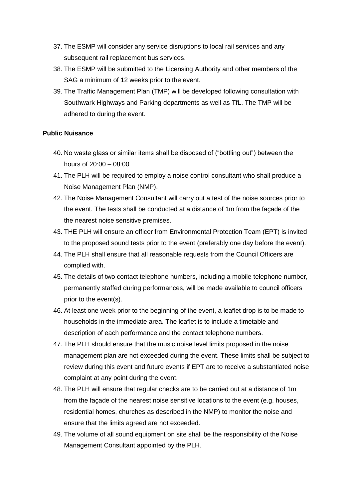- 37. The ESMP will consider any service disruptions to local rail services and any subsequent rail replacement bus services.
- 38. The ESMP will be submitted to the Licensing Authority and other members of the SAG a minimum of 12 weeks prior to the event.
- 39. The Traffic Management Plan (TMP) will be developed following consultation with Southwark Highways and Parking departments as well as TfL. The TMP will be adhered to during the event.

#### **Public Nuisance**

- 40. No waste glass or similar items shall be disposed of ("bottling out") between the hours of 20:00 – 08:00
- 41. The PLH will be required to employ a noise control consultant who shall produce a Noise Management Plan (NMP).
- 42. The Noise Management Consultant will carry out a test of the noise sources prior to the event. The tests shall be conducted at a distance of 1m from the façade of the the nearest noise sensitive premises.
- 43. THE PLH will ensure an officer from Environmental Protection Team (EPT) is invited to the proposed sound tests prior to the event (preferably one day before the event).
- 44. The PLH shall ensure that all reasonable requests from the Council Officers are complied with.
- 45. The details of two contact telephone numbers, including a mobile telephone number, permanently staffed during performances, will be made available to council officers prior to the event(s).
- 46. At least one week prior to the beginning of the event, a leaflet drop is to be made to households in the immediate area. The leaflet is to include a timetable and description of each performance and the contact telephone numbers.
- 47. The PLH should ensure that the music noise level limits proposed in the noise management plan are not exceeded during the event. These limits shall be subject to review during this event and future events if EPT are to receive a substantiated noise complaint at any point during the event.
- 48. The PLH will ensure that regular checks are to be carried out at a distance of 1m from the façade of the nearest noise sensitive locations to the event (e.g. houses, residential homes, churches as described in the NMP) to monitor the noise and ensure that the limits agreed are not exceeded.
- 49. The volume of all sound equipment on site shall be the responsibility of the Noise Management Consultant appointed by the PLH.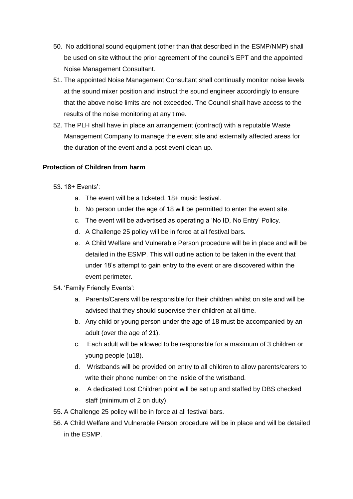- 50. No additional sound equipment (other than that described in the ESMP/NMP) shall be used on site without the prior agreement of the council's EPT and the appointed Noise Management Consultant.
- 51. The appointed Noise Management Consultant shall continually monitor noise levels at the sound mixer position and instruct the sound engineer accordingly to ensure that the above noise limits are not exceeded. The Council shall have access to the results of the noise monitoring at any time.
- 52. The PLH shall have in place an arrangement (contract) with a reputable Waste Management Company to manage the event site and externally affected areas for the duration of the event and a post event clean up.

#### **Protection of Children from harm**

- 53. 18+ Events':
	- a. The event will be a ticketed, 18+ music festival.
	- b. No person under the age of 18 will be permitted to enter the event site.
	- c. The event will be advertised as operating a 'No ID, No Entry' Policy.
	- d. A Challenge 25 policy will be in force at all festival bars.
	- e. A Child Welfare and Vulnerable Person procedure will be in place and will be detailed in the ESMP. This will outline action to be taken in the event that under 18's attempt to gain entry to the event or are discovered within the event perimeter.
- 54. 'Family Friendly Events':
	- a. Parents/Carers will be responsible for their children whilst on site and will be advised that they should supervise their children at all time.
	- b. Any child or young person under the age of 18 must be accompanied by an adult (over the age of 21).
	- c. Each adult will be allowed to be responsible for a maximum of 3 children or young people (u18).
	- d. Wristbands will be provided on entry to all children to allow parents/carers to write their phone number on the inside of the wristband.
	- e. A dedicated Lost Children point will be set up and staffed by DBS checked staff (minimum of 2 on duty).
- 55. A Challenge 25 policy will be in force at all festival bars.
- 56. A Child Welfare and Vulnerable Person procedure will be in place and will be detailed in the ESMP.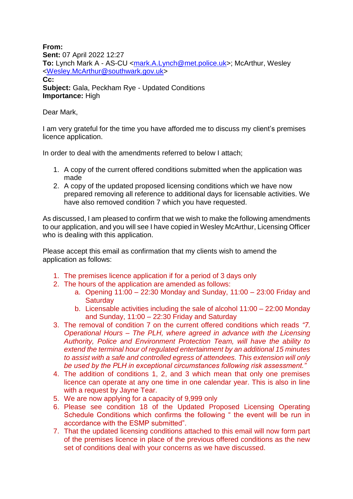**From: Sent:** 07 April 2022 12:27 **To:** Lynch Mark A - AS-CU [<mark.A.Lynch@met.police.uk>](mailto:mark.A.Lynch@met.police.uk); McArthur, Wesley [<Wesley.McArthur@southwark.gov.uk>](mailto:Wesley.McArthur@southwark.gov.uk) **Cc: Subject:** Gala, Peckham Rye - Updated Conditions **Importance:** High

Dear Mark,

I am very grateful for the time you have afforded me to discuss my client's premises licence application.

In order to deal with the amendments referred to below I attach;

- 1. A copy of the current offered conditions submitted when the application was made
- 2. A copy of the updated proposed licensing conditions which we have now prepared removing all reference to additional days for licensable activities. We have also removed condition 7 which you have requested.

As discussed, I am pleased to confirm that we wish to make the following amendments to our application, and you will see I have copied in Wesley McArthur, Licensing Officer who is dealing with this application.

Please accept this email as confirmation that my clients wish to amend the application as follows:

- 1. The premises licence application if for a period of 3 days only
- 2. The hours of the application are amended as follows:
	- a. Opening 11:00 22:30 Monday and Sunday, 11:00 23:00 Friday and **Saturday**
	- b. Licensable activities including the sale of alcohol 11:00 22:00 Monday and Sunday, 11:00 – 22:30 Friday and Saturday
- 3. The removal of condition 7 on the current offered conditions which reads *"7. Operational Hours – The PLH, where agreed in advance with the Licensing Authority, Police and Environment Protection Team, will have the ability to extend the terminal hour of regulated entertainment by an additional 15 minutes to assist with a safe and controlled egress of attendees. This extension will only be used by the PLH in exceptional circumstances following risk assessment."*
- 4. The addition of conditions 1, 2, and 3 which mean that only one premises licence can operate at any one time in one calendar year. This is also in line with a request by Jayne Tear.
- 5. We are now applying for a capacity of 9,999 only
- 6. Please see condition 18 of the Updated Proposed Licensing Operating Schedule Conditions which confirms the following " the event will be run in accordance with the ESMP submitted".
- 7. That the updated licensing conditions attached to this email will now form part of the premises licence in place of the previous offered conditions as the new set of conditions deal with your concerns as we have discussed.